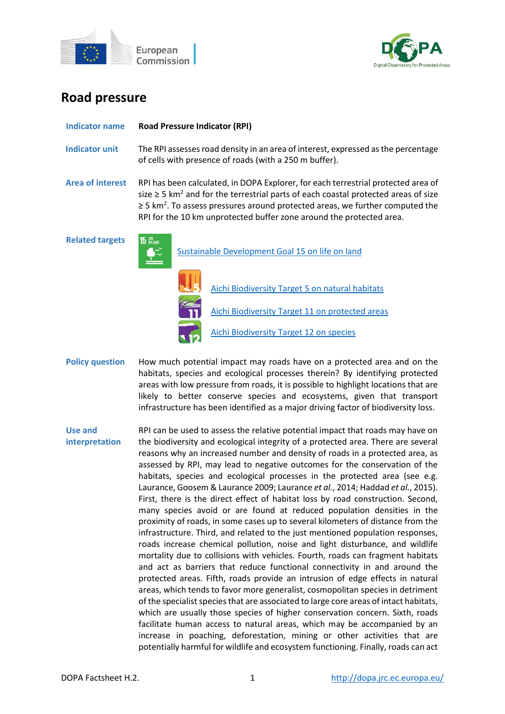



# **Road pressure**

| Indicator name          | <b>Road Pressure Indicator (RPI)</b>                                                                                                                                                                                                                                                                                                                               |                                                                                                    |
|-------------------------|--------------------------------------------------------------------------------------------------------------------------------------------------------------------------------------------------------------------------------------------------------------------------------------------------------------------------------------------------------------------|----------------------------------------------------------------------------------------------------|
| <b>Indicator unit</b>   | The RPI assesses road density in an area of interest, expressed as the percentage<br>of cells with presence of roads (with a 250 m buffer).                                                                                                                                                                                                                        |                                                                                                    |
| <b>Area of interest</b> | RPI has been calculated, in DOPA Explorer, for each terrestrial protected area of<br>size $\geq$ 5 km <sup>2</sup> and for the terrestrial parts of each coastal protected areas of size<br>$\geq$ 5 km <sup>2</sup> . To assess pressures around protected areas, we further computed the<br>RPI for the 10 km unprotected buffer zone around the protected area. |                                                                                                    |
| <b>Related targets</b>  | <b>15 UFF</b>                                                                                                                                                                                                                                                                                                                                                      | Sustainable Development Goal 15 on life on land<br>Aichi Biodiversity Target 5 on natural habitats |
|                         |                                                                                                                                                                                                                                                                                                                                                                    | Aichi Biodiversity Target 11 on protected areas<br><b>Aichi Biodiversity Target 12 on species</b>  |

- **Policy question** How much potential impact may roads have on a protected area and on the habitats, species and ecological processes therein? By identifying protected areas with low pressure from roads, it is possible to highlight locations that are likely to better conserve species and ecosystems, given that transport infrastructure has been identified as a major driving factor of biodiversity loss.
- **Use and interpretation** RPI can be used to assess the relative potential impact that roads may have on the biodiversity and ecological integrity of a protected area. There are several reasons why an increased number and density of roads in a protected area, as assessed by RPI, may lead to negative outcomes for the conservation of the habitats, species and ecological processes in the protected area (see e.g. Laurance, Goosem & Laurance 2009; Laurance *et al.*, 2014; Haddad *et al.*, 2015). First, there is the direct effect of habitat loss by road construction. Second, many species avoid or are found at reduced population densities in the proximity of roads, in some cases up to several kilometers of distance from the infrastructure. Third, and related to the just mentioned population responses, roads increase chemical pollution, noise and light disturbance, and wildlife mortality due to collisions with vehicles. Fourth, roads can fragment habitats and act as barriers that reduce functional connectivity in and around the protected areas. Fifth, roads provide an intrusion of edge effects in natural areas, which tends to favor more generalist, cosmopolitan species in detriment of the specialist species that are associated to large core areas of intact habitats, which are usually those species of higher conservation concern. Sixth, roads facilitate human access to natural areas, which may be accompanied by an increase in poaching, deforestation, mining or other activities that are potentially harmful for wildlife and ecosystem functioning. Finally, roads can act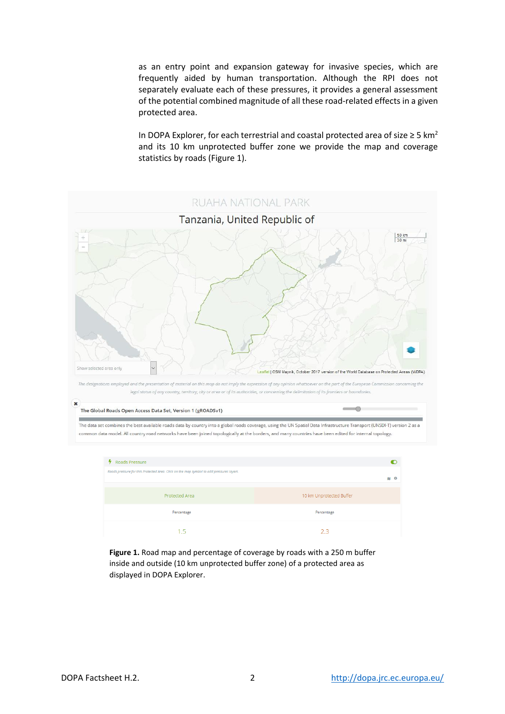as an entry point and expansion gateway for invasive species, which are frequently aided by human transportation. Although the RPI does not separately evaluate each of these pressures, it provides a general assessment of the potential combined magnitude of all these road-related effects in a given protected area.

In DOPA Explorer, for each terrestrial and coastal protected area of size  $\geq 5$  km<sup>2</sup> and its 10 km unprotected buffer zone we provide the map and coverage statistics by roads (Figure 1).



**Figure 1.** Road map and percentage of coverage by roads with a 250 m buffer inside and outside (10 km unprotected buffer zone) of a protected area as displayed in DOPA Explorer.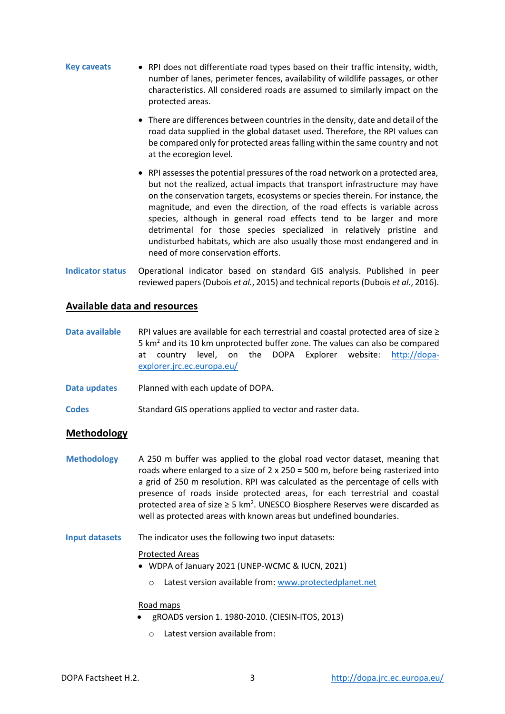- **Key caveats** RPI does not differentiate road types based on their traffic intensity, width, number of lanes, perimeter fences, availability of wildlife passages, or other characteristics. All considered roads are assumed to similarly impact on the protected areas.
	- There are differences between countries in the density, date and detail of the road data supplied in the global dataset used. Therefore, the RPI values can be compared only for protected areas falling within the same country and not at the ecoregion level.
	- RPI assesses the potential pressures of the road network on a protected area, but not the realized, actual impacts that transport infrastructure may have on the conservation targets, ecosystems or species therein. For instance, the magnitude, and even the direction, of the road effects is variable across species, although in general road effects tend to be larger and more detrimental for those species specialized in relatively pristine and undisturbed habitats, which are also usually those most endangered and in need of more conservation efforts.
- **Indicator status** Operational indicator based on standard GIS analysis. Published in peer reviewed papers(Dubois *et al.*, 2015) and technical reports (Dubois *et al.*, 2016).

## **Available data and resources**

- **Data available** RPI values are available for each terrestrial and coastal protected area of size ≥ 5  $km<sup>2</sup>$  and its 10 km unprotected buffer zone. The values can also be compared at country level, on the DOPA Explorer website: [http://dopa](http://dopa-explorer.jrc.ec.europa.eu/)[explorer.jrc.ec.europa.eu/](http://dopa-explorer.jrc.ec.europa.eu/)
- **Data updates** Planned with each update of DOPA.
- **Codes** Standard GIS operations applied to vector and raster data.

## **Methodology**

- **Methodology** A 250 m buffer was applied to the global road vector dataset, meaning that roads where enlarged to a size of  $2 \times 250 = 500$  m, before being rasterized into a grid of 250 m resolution. RPI was calculated as the percentage of cells with presence of roads inside protected areas, for each terrestrial and coastal protected area of size  $\geq$  5 km<sup>2</sup>. UNESCO Biosphere Reserves were discarded as well as protected areas with known areas but undefined boundaries.
- **Input datasets** The indicator uses the following two input datasets:

### Protected Areas

- WDPA of January 2021 (UNEP-WCMC & IUCN, 2021)
	- o Latest version available from: [www.protectedplanet.net](http://www.protectedplanet.net/)

### Road maps

- gROADS version 1. 1980-2010. (CIESIN-ITOS, 2013)
	- o Latest version available from: